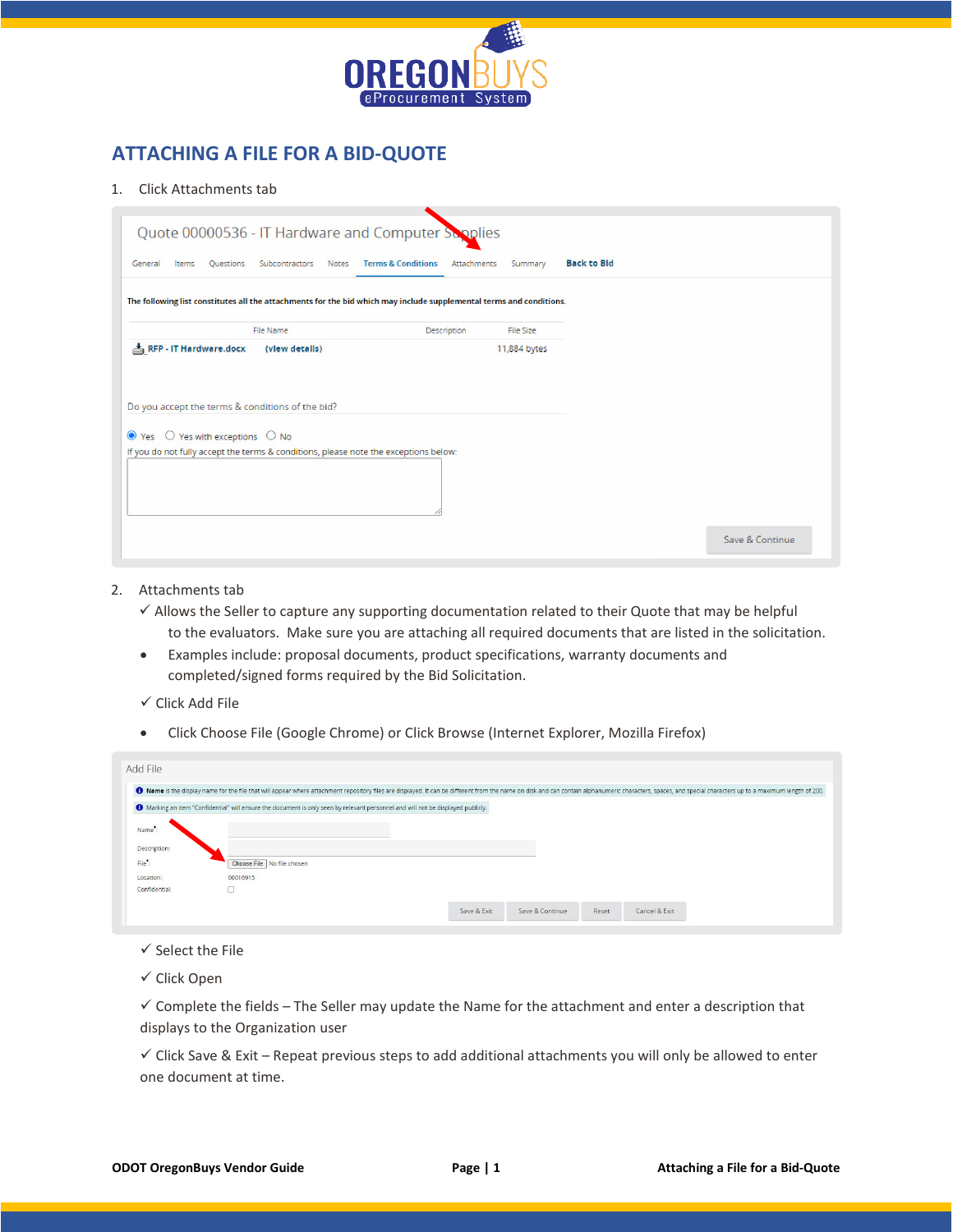

## **ATTACHING A FILE FOR A BID-QUOTE**

## 1. Click Attachments tab

| Quote 00000536 - IT Hardware and Computer Sepplies                                                                                                                                               |                         |                                              |              |                    |                 |
|--------------------------------------------------------------------------------------------------------------------------------------------------------------------------------------------------|-------------------------|----------------------------------------------|--------------|--------------------|-----------------|
| <b>Ouestions</b><br>General<br>Items                                                                                                                                                             | Subcontractors<br>Notes | <b>Terms &amp; Conditions</b><br>Attachments | Summary      | <b>Back to Bld</b> |                 |
| The following list constitutes all the attachments for the bid which may include supplemental terms and conditions.                                                                              |                         |                                              |              |                    |                 |
|                                                                                                                                                                                                  | File Name               | Description                                  | File Size    |                    |                 |
| RFP - IT Hardware.docx                                                                                                                                                                           | (view details)          |                                              | 11,884 bytes |                    |                 |
| Do you accept the terms & conditions of the bid?<br>$\bullet$ Yes $\circ$ Yes with exceptions $\circ$ No<br>If you do not fully accept the terms & conditions, please note the exceptions below: |                         |                                              |              |                    | Save & Continue |

- 2. Attachments tab
	- $\checkmark$  Allows the Seller to capture any supporting documentation related to their Quote that may be helpful to the evaluators. Make sure you are attaching all required documents that are listed in the solicitation.
	- Examples include: proposal documents, product specifications, warranty documents and completed/signed forms required by the Bid Solicitation.
	- $\checkmark$  Click Add File
	- Click Choose File (Google Chrome) or Click Browse (Internet Explorer, Mozilla Firefox)

| Add File          |                                                                                                                                  |                                                                                                                                                                                                                                |
|-------------------|----------------------------------------------------------------------------------------------------------------------------------|--------------------------------------------------------------------------------------------------------------------------------------------------------------------------------------------------------------------------------|
|                   |                                                                                                                                  | O Name is the display name for the file that will appear where attachment repository files are displayed. It can be different from the name on disk and can contain alphanumeric characters, spaces, and special characters up |
|                   | 1 Marking an item "Confidential" will ensure the document is only seen by relevant personnel and will not be displayed publicly. |                                                                                                                                                                                                                                |
| Name <sup>*</sup> |                                                                                                                                  |                                                                                                                                                                                                                                |
| Description:      |                                                                                                                                  |                                                                                                                                                                                                                                |
| File":            | Choose File No file chosen                                                                                                       |                                                                                                                                                                                                                                |
| Location:         | 00016915                                                                                                                         |                                                                                                                                                                                                                                |
| Confidential:     |                                                                                                                                  |                                                                                                                                                                                                                                |
|                   |                                                                                                                                  | Save & Continue<br>Cancel & Exit<br>Save & Exit<br>Reset                                                                                                                                                                       |
|                   |                                                                                                                                  |                                                                                                                                                                                                                                |

## $\checkmark$  Select the File

 $\checkmark$  Click Open

 $\checkmark$  Complete the fields – The Seller may update the Name for the attachment and enter a description that displays to the Organization user

 $\checkmark$  Click Save & Exit – Repeat previous steps to add additional attachments you will only be allowed to enter one document at time.